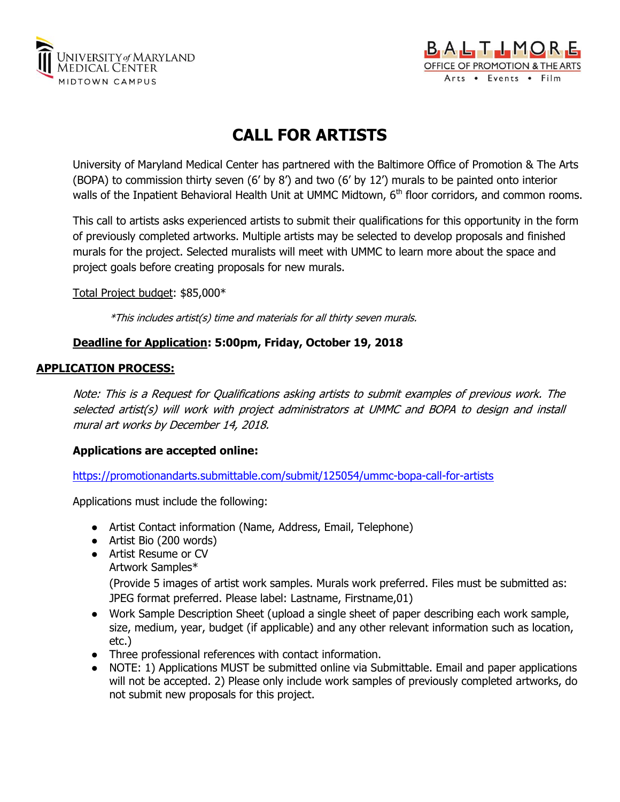



# **CALL FOR ARTISTS**

University of Maryland Medical Center has partnered with the Baltimore Office of Promotion & The Arts (BOPA) to commission thirty seven (6' by 8') and two (6' by 12') murals to be painted onto interior walls of the Inpatient Behavioral Health Unit at UMMC Midtown, 6<sup>th</sup> floor corridors, and common rooms.

This call to artists asks experienced artists to submit their qualifications for this opportunity in the form of previously completed artworks. Multiple artists may be selected to develop proposals and finished murals for the project. Selected muralists will meet with UMMC to learn more about the space and project goals before creating proposals for new murals.

Total Project budget: \$85,000\*

\*This includes artist(s) time and materials for all thirty seven murals.

## **Deadline for Application: 5:00pm, Friday, October 19, 2018**

## **APPLICATION PROCESS:**

Note: This is a Request for Qualifications asking artists to submit examples of previous work. The selected artist(s) will work with project administrators at UMMC and BOPA to design and install mural art works by December 14, 2018.

## **Applications are accepted online:**

<https://promotionandarts.submittable.com/submit/125054/ummc-bopa-call-for-artists>

Applications must include the following:

- Artist Contact information (Name, Address, Email, Telephone)
- Artist Bio (200 words)
- Artist Resume or CV Artwork Samples\* (Provide 5 images of artist work samples. Murals work preferred. Files must be submitted as: JPEG format preferred. Please label: Lastname, Firstname,01)
- Work Sample Description Sheet (upload a single sheet of paper describing each work sample, size, medium, year, budget (if applicable) and any other relevant information such as location, etc.)
- Three professional references with contact information.
- NOTE: 1) Applications MUST be submitted online via Submittable. Email and paper applications will not be accepted. 2) Please only include work samples of previously completed artworks, do not submit new proposals for this project.